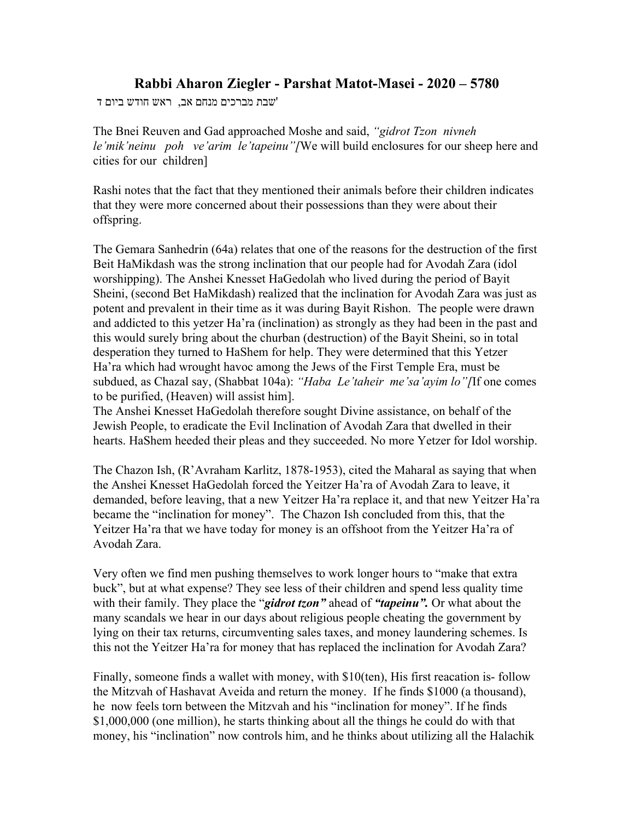## **Rabbi Aharon Ziegler - Parshat Matot-Masei - 2020 – 5780**

'שבת מברכים מנחם אב, ראש חודש ביום ד

The Bnei Reuven and Gad approached Moshe and said, *"gidrot Tzon nivneh le'mik'neinu poh ve'arim le'tapeinu"[*We will build enclosures for our sheep here and cities for our children]

Rashi notes that the fact that they mentioned their animals before their children indicates that they were more concerned about their possessions than they were about their offspring.

The Gemara Sanhedrin (64a) relates that one of the reasons for the destruction of the first Beit HaMikdash was the strong inclination that our people had for Avodah Zara (idol worshipping). The Anshei Knesset HaGedolah who lived during the period of Bayit Sheini, (second Bet HaMikdash) realized that the inclination for Avodah Zara was just as potent and prevalent in their time as it was during Bayit Rishon. The people were drawn and addicted to this yetzer Ha'ra (inclination) as strongly as they had been in the past and this would surely bring about the churban (destruction) of the Bayit Sheini, so in total desperation they turned to HaShem for help. They were determined that this Yetzer Ha'ra which had wrought havoc among the Jews of the First Temple Era, must be subdued, as Chazal say, (Shabbat 104a): *"Haba Le'taheir me'sa'ayim lo"[*If one comes to be purified, (Heaven) will assist him].

The Anshei Knesset HaGedolah therefore sought Divine assistance, on behalf of the Jewish People, to eradicate the Evil Inclination of Avodah Zara that dwelled in their hearts. HaShem heeded their pleas and they succeeded. No more Yetzer for Idol worship.

The Chazon Ish, (R'Avraham Karlitz, 1878-1953), cited the Maharal as saying that when the Anshei Knesset HaGedolah forced the Yeitzer Ha'ra of Avodah Zara to leave, it demanded, before leaving, that a new Yeitzer Ha'ra replace it, and that new Yeitzer Ha'ra became the "inclination for money". The Chazon Ish concluded from this, that the Yeitzer Ha'ra that we have today for money is an offshoot from the Yeitzer Ha'ra of Avodah Zara.

Very often we find men pushing themselves to work longer hours to "make that extra buck", but at what expense? They see less of their children and spend less quality time with their family. They place the "*gidrot tzon"* ahead of *"tapeinu".* Or what about the many scandals we hear in our days about religious people cheating the government by lying on their tax returns, circumventing sales taxes, and money laundering schemes. Is this not the Yeitzer Ha'ra for money that has replaced the inclination for Avodah Zara?

Finally, someone finds a wallet with money, with \$10(ten), His first reacation is- follow the Mitzvah of Hashavat Aveida and return the money. If he finds \$1000 (a thousand), he now feels torn between the Mitzvah and his "inclination for money". If he finds \$1,000,000 (one million), he starts thinking about all the things he could do with that money, his "inclination" now controls him, and he thinks about utilizing all the Halachik